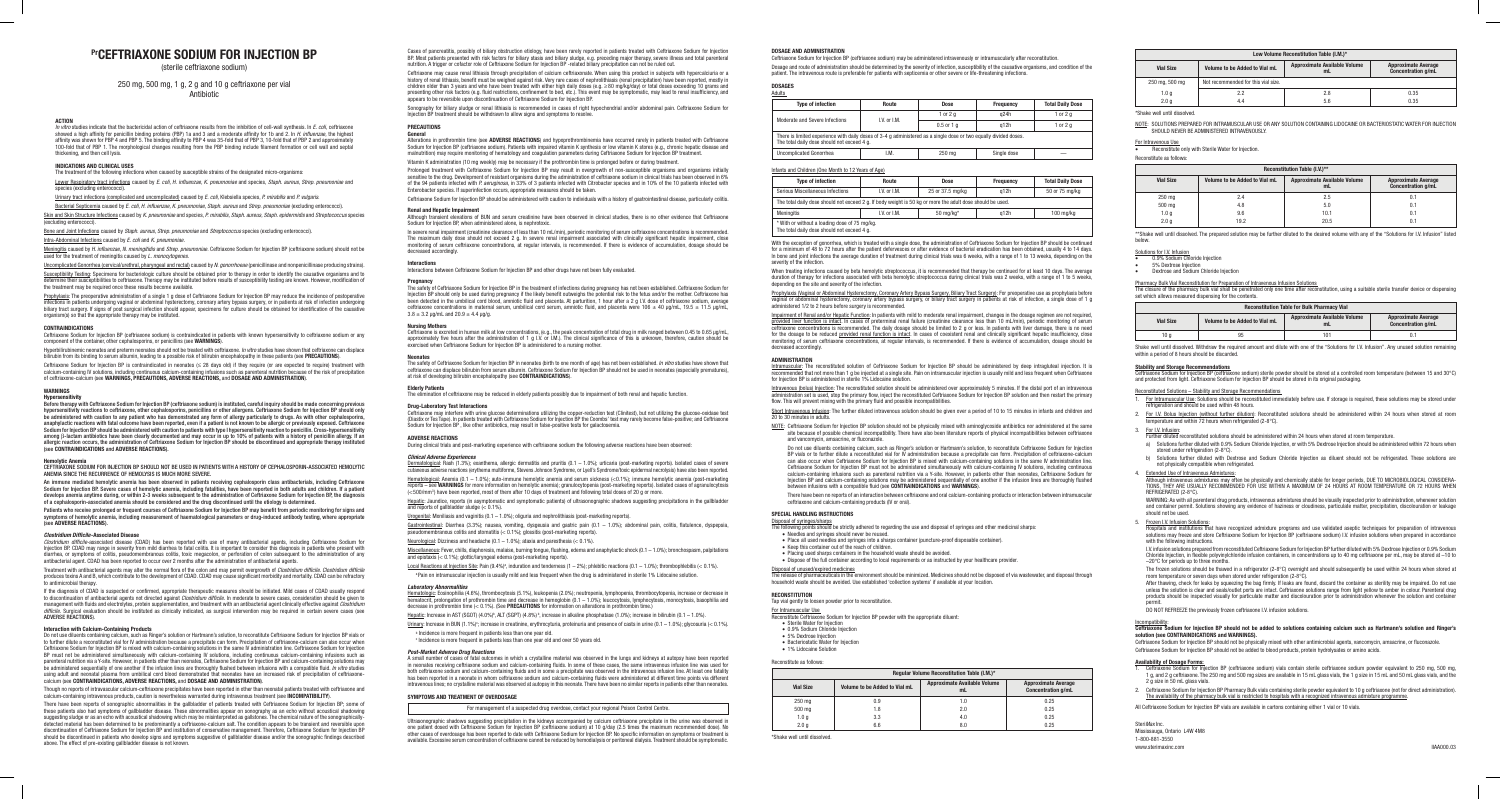Cases of pancreatitis, possibly of biliary obstruction etiology, have been rarely reported in patients treated with Ceftriaxone Sodium for Injection BP. Most patients presented with risk factors for biliary stasis and biliary sludge, e.g. preceding major therapy, severe illness and total parenteral nutrition. A trigger or cofactor role of Ceftriaxone Sodium for Injection BP -related biliary precipitation can not be ruled out.

Ceftriaxone may cause renal lithiasis through precipitation of calcium ceftriaxonate. When using this product in subjects with hypercalciuria or a history of renal lithiasis, benefit must be weighed against risk. Very rare cases of nephrolithiasis (renal precipitation) have been reported, mostly in<br>children older than 3 years and who have been treated with either hi presenting other risk factors (e.g. fluid restrictions, confinement to bed, etc.). This event may be symptomatic, may lead to renal insufficiency, and<br>appears to be reversible upon discontinuation of Ceftriaxone Sodium for

Sonography for biliary sludge or renal lithiasis is recommended in cases of right hypochondrial and/or abdominal pain. Ceftriaxone Sodium for Injection BP treatment should be withdrawn to allow signs and symptoms to resolve.

#### **PRECAUTIONS General**

Alterations in prothrombin time (see **ADVERSE REACTIONS**) and hypoprothrombinemia have occurred rarely in patients treated with Ceftriaxone Sodium for Injection BP (ceftriaxone sodium). Patients with impaired vitamin K synthesis or low vitamin K stores (e.g., chronic hepatic disease and malnutrition) may require monitoring of hematology and coagulation parameters during Ceftriaxone Sodium for Injection BP treatment. Vitamin K administration (10 mg weekly) may be necessary if the prothrombin time is prolonged before or during treatment.

**Neonates**  The safety of Ceftriaxone Sodium for Injection BP in neonates (birth to one month of age) has not been established. *In vitro* studies have shown that ceftriaxone can displace bilirubin from serum albumin. Ceftriaxone Sodium for Injection BP should not be used in neonates (especially prematures),<br>at risk of developing bilirubin encephalopathy (see **CONTRAINDICATIONS**).

Prolonged treatment with Ceftriaxone Sodium for Injection BP may result in overgrowth of non-susceptible organisms and organisms initially sensitive to the drug. Development of resistant organisms during the administration of ceftriaxone sodium in clinical trials has been observed in 6%<br>of the 94 patients infected with *P. aeruginosa,* in 33% of 3 patients in Enterobacter species. If superinfection occurs, appropriate measures should be taken. Ceftriaxone Sodium for Injection BP should be administered with caution to individuals with a history of gastrointestinal disease, particularly colitis.

**Renal and Hepatic Impairment**  Although transient elevations of BUN and serum creatinine have been observed in clinical studies, there is no other evidence that Ceftriaxone Sodium for Injection BP, when administered alone, is nephrotoxic.

Dermatological: Rash (1.3%); exanthema, allergic dermatitis and pruritis (0.1 – 1.0%); urticaria (post-marketing reports). Isolated cases of severe cutaneous adverse reactions (erythema multiforme, Stevens Johnson Syndrome, or Lyell's Syndrome/toxic epidermal necrolysis) have also been reported.

In severe renal impairment (creatinine clearance of less than 10 mL/min), periodic monitoring of serum ceftriaxone concentrations is recommended. The maximum daily dose should not exceed 2 g. In severe renal impairment associated with clinically significant hepatic impairment, close<br>monitoring of serum ceftriaxone concentrations, at regular intervals, is recommended decreased accordingly.

#### **Interactions**

Interactions between Ceftriaxone Sodium for Injection BP and other drugs have not been fully evaluated

**Pregnancy**<br>The safety of Ceftriaxone Sodium for Injection BP in the treatment of infections during pregnancy has not been established. Ceftriaxone Sodium for Injection BP should only be used during pregnancy if the likely benefit outweighs the potential risk to the fetus and/or the mother. Ceftriaxone has<br>been detected in the umbilical cord blood, amniotic fluid and placenta.  $3.8 \pm 3.2$  µg/mL and  $20.9 \pm 4.4$  µg/g.

Gastrointestinal: Diarrhea (3.3%); nausea, vomiting, dysgeusia and gastric pain (0.1 – 1.0%); abdominal pain, colitis, flatulence, dyspepsia, parameter (energy, matter, commang, eyegenements gas in pair of the stock of the stock of the posts.

Neurological: Dizziness and headache  $(0.1 - 1.0\%)$ ; ataxia and paresthesia  $(< 0.1\%)$ .

Miscellaneous: Fever, chills, diaphoresis, malaise, burning tongue, flushing, edema and anaphylactic shock (0.1 – 1.0%); bronchospasm, palpitations model contains the control of the process, making of the control of the process and epistaxis (< 0.1%); glottic/laryngeal edema (post-marketing reports).

Local Reactions at Injection Site: Pain  $(9.4\%)^2$ , induration and tenderness  $(1 - 2\%)$ ; phlebitic reactions  $(0.1 - 1.0\%)$ ; thrombophlebitis  $(< 0.1\%)$ . a Pain on intramuscular injection is usually mild and less frequent when the drug is administered in sterile 1% Lidocaine solution.

<u>Hematologic</u>: Eosinophilia (4.6%), thrombocytosis (5.1%), leukopenia (2.0%); neutropenia, lymphopenia, thrombocytopenia, increase or decrease in<br>hematocrit, prolongation of prothrombin time and decrease in hemoglobin (0.1 decrease in prothrombin time (< 0.1%). (See **PRECAUTIONS** for information on alterations in prothrombin time.)

Hepatic: Increase in AST (SGOT)  $(4.0\%)^b$ , ALT (SGPT)  $(4.8\%)^b$ , increase in alkaline phosphatase  $(1.0\%)$ ; increase in bilirubin  $(0.1 - 1.0\%)$ .

Urinary: Increase in BUN (1.1%)<sup>c</sup>; increase in creatinine, erythrocyturia, proteinuria and presence of casts in urine (0.1 – 1.0%); glycosuria (< 0.1%).

**b** Incidence is more frequent in patients less than one year old.

<sup>c</sup> Incidence is more frequent in patients less than one year old and over 50 years old.

#### **Nursing Mothers**

Ceftriaxone is excreted in human milk at low concentrations, (e.g., the peak concentration of total drug in milk ranged between 0.45 to 0.65 µg/mL,<br>approximately five hours after the administration of 1 g I.V. or I.M.). Th exercised when Ceftriaxone Sodium for Injection BP is administered to a nursing mother

#### **Elderly Patients**

The elimination of ceftriaxone may be reduced in elderly patients possibly due to impairment of both renal and hepatic function.

### **Drug-Laboratory Test Interactions**

eftriaxone Sodium for Injection BP (ceftriaxone sodium) may be administered intravenously or intramuscularly after reconstitutior Dosage and route of administration should be determined by the severity of infection, susceptibility of the causative organisms, and condition of the patient. The intravenous route is preferable for patients with septicemia or other severe or life-threatening infections.

Ceftriaxone may interfere with urine glucose determinations utilizing the copper-reduction test (Clinitest), but not utilizing the glucose-oxidase test (Diastix or Tes Tape). In patients treated with Ceftriaxone Sodium for Injection BP the Coombs' test may rarely become false-positive; and Ceftriaxone Sodium for Injection BP , like other antibiotics, may result in false-positive tests for galactosemia.

### **ADVERSE REACTIONS**

During clinical trials and post-marketing experience with ceftriaxone sodium the following adverse reactions have been observed:

With the exception of gonorrhea, which is treated with a single dose, the administration of Ceftriaxone Sodium for Injection BP should be continued for a minimum of 48 to 72 hours after the patient defervesces or after evidence of bacterial eradication has been obtained, usually 4 to 14 days.<br>In bone and joint infections the average duration of treatment during clinic severity of the infection.

#### *Clinical Adverse Experiences*

When treating infections caused by beta hemolytic streptococcus, it is recommended that therapy be continued for at least 10 days. The average<br>duration of therapy for infections associated with beta hemolytic streptococcus depending on the site and severity of the infection.

Hematological: Anemia (0.1 – 1.0%); auto-immune hemolytic anemia and serum sickness (<0.1%); immune hemolytic anemia (post-marketing reports – see **WARNINGS** for more information on hemolytic anemia); granulocytopenia (post-marketing reports). Isolated cases of agranulocytosis (<500/mm3) have been reported, most of them after 10 days of treatment and following total doses of 20 g or more.

Hepatic: Jaundice, reports (in asymptomatic and symptomatic patients) of ultrasonographic shadows suggesting precipitations in the gallbladder and reports of gallbladder sludge  $( $0.1\%$ ).$ 

Urogenital: Moniliasis and vaginitis  $(0.1 - 1.0\%)$ ; oliguria and nephrolithiasis (post-marketing reports).

Prophylaxis (Vaginal or Abdominal Hysterectomy, Coronary Artery Bypass Surgery, Biliary Tract Surgery): For preoperative use as prophylaxis before vaginal or abdominal hysterectomy, coronary artery bypass surgery, or biliary tract surgery in patients at risk of infection, a single dose of 1 g administered 1/2 to 2 hours before surgery is recommended.

<u>Intravenous (bolus) Injection</u>: The reconstituted solution should be administered over approximately 5 minutes. If the distal port of an intravenous<br>administration set is used, stop the primary flow, inject the reconstitu flow. This will prevent mixing with the primary fluid and possible incompatibilities.

NOTE: Ceftriaxone Sodium for Injection BP solution should not be physically mixed with aminoglycoside antibiotics nor administered at the same site because of possible chemical incompatibility. There have also been literature reports of physical incompatibilities between ceftriaxone and vancomycin, amsacrine, or fluconazole.

Do not use diluents containing calcium, such as Ringer's solution or Hartmann's solution, to reconstitute Ceftriaxone Sodium for Injection BP vials or to further dilute a reconstituted vial for IV administration because a precipitate can form. Precipitation of ceftriaxone-calcium can also occur when Ceftriaxone Sodium for Injection BP is mixed with calcium-containing solutions in the same IV administration line. Ceftriaxone Sodium for Injection BP must not be administered simultaneously with calcium-containing IV solutions, including continuous<br>calcium-containing infusions such as parenteral nutrition via a Y-site. However, in pat

#### *Laboratory Abnormalities*

<u>Disposal of unused/expired medicines</u><br>The release of pharmaceuticals in the environment should be minimized. Medicines should not be disposed of via wastewater, and disposal through household waste should be avoided. Use established 'collection systems' if available at your location.

• 1% Lidocaine Solution Reconstitute as follows:

NOTE: SOLUTIONS PREPARED FOR INTRAMUSCULAR USE OR ANY SOLUTION CONTAINING LIDOCAINE OR BACTERIOSTATIC WATER FOR INJECTION SHOULD NEVER BE ADMINISTERED INTRAVENOUSLY.

For Intravenous Use<br>• Reconstitute only with Sterile Water for Injection.

*Post-Market Adverse Drug Reactions* A small number of cases of fatal outcomes in which a crystalline material was observed in the lungs and kidneys at autopsy have been reported in neonates receiving ceftriaxone sodium and calcium-containing fluids. In some of these cases, the same intravenous infusion line was used for<br>both ceftriaxone sodium and calcium-containing fluids and in some a precipitat has been reported in a neonate in whom ceftriaxone sodium and calcium-containing fluids were administered at different time points via different intravenous lines; no crystalline material was observed at autopsy in this neonate. There have been no similar reports in patients other than neonates.

#### **SYMPTOMS AND TREATMENT OF OVERDOSAGE**

For management of a suspected drug overdose, contact your regional Poison Control Centre.

Ultrasonographic shadows suggesting precipitation in the kidneys accompanied by calcium ceftriaxone precipitate in the urine was observed in<br>one patient dosed with Ceftriaxone Sodium for Injection BP (ceftriaxone sodium) a other cases of overdosage has been reported to date with Ceftriaxone Sodium for Injection BP. No specific information on symptoms or treatment is<br>available. Excessive serum concentration of ceftriaxone cannot be reduced by Shake well until dissolved. Withdraw the required amount and dilute with one of the "Solutions for I.V. Infusion". Any unused solution remaining within a period of 8 hours should be discarde

### **DOSAGE AND ADMINISTRATION**

- a) Solutions further diluted with 0.9% Sodium Chloride Injection, or with 5% Dextrose Injection should be administered within 72 hours when stored under refrigeration (2-8°C).
- Solutions further diluted with Dextrose and Sodium Chloride Injection as diluent should not be refrigerated. These solutions are not physically compatible when refrigerated.
- 

4. Extended Use of Intravenous Admixtures:<br>Although intravenous admixtures may often be physically and chemically stable for longer periods, DUE TO MICROBIOLOGICAL CONSIDERA-<br>TIONS, THEY ARE USUALLY RECOMMENDED FOR USE WIT REFRIGERATED (2-8°C).

### **DOSAGES** Adults

WARNING: As with all parenteral drug products, intravenous admixtures should be visually inspected prior to administration, whenever solution<br>and container permit. Solutions showing any evidence of haziness or cloudiness, should not be used.

5. <u>Frozen I.V. Infusion Solutions</u>:<br>Hospitals and institutions that have recognized admixture programs and use validated aseptic techniques for preparation of intravenous solutions may freeze and store Ceftriaxone Sodium for Injection BP (ceftriaxone sodium) I.V. infusion solutions when prepared in accordance with the following instructions.

| <b>Type of infection</b>                                                                   |  |
|--------------------------------------------------------------------------------------------|--|
| Moderate and Severe Infections                                                             |  |
| There is limited experience with daily dose<br>The total daily dose should not exceed 4 g. |  |

**Uncomplicated Gonorrhea** 

| <b>Type of infection</b>                                                                                                                                         | Route                                           | <b>Dose</b> | Frequency   | <b>Total Daily Dose</b> |  |
|------------------------------------------------------------------------------------------------------------------------------------------------------------------|-------------------------------------------------|-------------|-------------|-------------------------|--|
| Moderate and Severe Infections                                                                                                                                   | $1$ or $2a$<br>$I.V.$ or $I.M.$<br>$0.5$ or 1 g |             | a24h        | 1 or $2a$               |  |
|                                                                                                                                                                  |                                                 |             | q12h        | 1 or $2a$               |  |
| There is limited experience with daily doses of 3-4 q administered as a single dose or two equally divided doses.<br>The total daily dose should not exceed 4 g. |                                                 |             |             |                         |  |
| <b>Uncomplicated Gonorrhea</b>                                                                                                                                   | I.M.                                            | 250 mg      | Single dose |                         |  |

<u>Intramuscular</u>: The reconstituted solution of Ceftriaxone Sodium for Injection BP should be administered by deep intragluteal injection. It is<br>recommended that not more than 1 g be injected at a single site. Pain on intra

Short Intravenous Infusion: The further diluted intravenous solution should be given over a period of 10 to 15 minutes in infants and children and

### Infants and Children (One Month to 12 Years of Age)

| Type of infection                                                                                          | Route        | Dose             | Frequency | <b>Total Daily Dose</b> |
|------------------------------------------------------------------------------------------------------------|--------------|------------------|-----------|-------------------------|
| Serious Miscellaneous Infections                                                                           | I.V. or I.M. | 25 or 37.5 mg/kg | a12h      | 50 or 75 mg/kg          |
| The total daily dose should not exceed 2 q. If body weight is 50 kg or more the adult dose should be used. |              |                  |           |                         |
| Meningitis<br>I.V. or I.M.<br>50 mg/kg $*$<br>$100 \text{ mg/kg}$<br>a12h                                  |              |                  |           |                         |
| * With or without a loading dose of 75 mg/kg.<br>The total daily dose should not exceed 4 g.               |              |                  |           |                         |

After thawing, check for leaks by squeezing the bag firmly. If leaks are found, discard the container as sterility may be impaired. Do not use<br>unless the solution is clear and seals/outlet ports are intact. Ceftriaxone sol products should be inspected visually for particulate matter and discolouration prior to administration whenever the solution and container permit.

### <u>Incompatibility</u>:<br>Ceftriaxone Sodium for Injection BP should not be added to solutions containing calcium such as Hartmann's solution and Ringer's **solution (see CONTRAINDICATIONS and WARNINGS).**

- **Availability of Dosage Forms:**<br>1. Ceftriaxone Sodium for Injection BP (ceftriaxone sodium) vials contain sterile ceftriaxone sodium powder equivalent to 250 mg, 500 mg, 1 g, and 2 g ceftriaxone. The 250 mg and 500 mg sizes are available in 15 mL glass vials, the 1 g size in 15 mL and 50 mL glass vials, and the 2 g size in 50 mL glass vials.
- 2. Ceftriaxone Sodium for Injection BP Pharmacy Bulk vials containing sterile powder equivalent to 10 g ceftriaxone (not for direct administration). The availability of the pharmacy bulk vial is restricted to hospitals with a recognized intravenous admixture programme.

### 250 mg, 500 mg, 1 g, 2 g and 10 g ceftriaxone per vial **Antihiotic**

Meningitis caused by *H. influenzae, N. meningitidis* and *Strep. pneumoniae.* Ceftriaxone Sodium for Injection BP (ceftriaxone sodium) should not be used for the treatment of meningitis caused by *L. monocytogen* 

> Impairment of Renal and/or Hepatic Function: In patients with mild to moderate renal impairment, changes in the dosage regimen are not required, p<u>rovided liver function is intact</u>. In cases of preterminal renal failure (creatinine clearance less than 10 mL/min), periodic monitoring of serum<br>ceftriaxone concentrations is recommended. The daily dosage should be limi for the dosage to be reduced <u>provided renal function is intact</u>. In cases of coexistent renal and clinically significant hepatic insufficiency, close<br>monitoring of serum ceftriaxone concentrations, at regular intervals, i decreased accordingly.

### **ADMINISTRATION**

for Injection BP is administered in sterile 1% Lidocaine solution.

Ceftriaxone Sodium for Injection BP is contraindicated in neonates (≤ 28 days old) if they require (or are expected to require) treatment with calcium-containing IV solutions, including continuous calcium-containing infusions such as parenteral nutrition because of the risk of precipitation<br>of ceftriaxone-calcium (see **WARNINGS, PRECAUTIONS, ADVERSE REACTIONS,** a

Before therapy with Ceftriaxone Sodium for Injection BP (ceftriaxone sodium) is instituted, careful inquiry should be made concerning previous hypersensitivity reactions to ceftriaxone, other cephalosporins, penicillins or other allergens. Ceftriaxone Sodium for Injection BP should only<br>be administered with caution to any patient who has demonstrated any form of Sodium for Injection BP should be administered with caution to patients with type I hypersensitivity reaction to penicillin. Cross-hypersensitivity among β-lactam antibiotics have been clearly documented and may occur in up to 10% of patients with a history of penicillin allergy. If an<br>allergic reaction occurs, the administration of Ceftriaxone Sodium for Injection BP

## 20 to 30 minutes in adults.

An immune mediated hemolytic anemia has been observed in patients receiving cephalosporin class antibacterials, including Ceftriaxone Sodium for Injection BP. Severe cases of hemolytic anemia, including fatalities, have been reported in both adults and children. If a patient<br>develops anemia anytime during, or within 2-3 weeks subsequent to the administra

Patients who receive prolonged or frequent courses of Ceftriaxone Sodium for Injection BP may benefit from periodic monitoring for signs and symptoms of hemolytic anemia, including measurement of haematological parameters or drug-induced antibody testing, where appropriate symptoms of hemolytic anen<br>(see **ADVERSE REACTIONS**).

Treatment with antibacterial agents may alter the normal flora of the colon and may permit overgrowth of *Clostridium difficile. Clostridium difficile* produces toxins A and B, which contribute to the development of CDAD. CDAD may cause significant morbidity and mortality. CDAD can be refractory to antimicrobial therapy.

There have been no reports of an interaction between ceftriaxone and oral calcium-containing products or interaction between intramuscular ceftriaxone and calcium-containing products (IV or oral).

<u>Disposal of syringes/sharps</u><br>The following points should be strictly adhered to regarding the use and disposal of syringes and other medicinal sharps:

• Needles and syringes should never be reused • Place all used needles and syringes into a sharps container (puncture-proof disposable container).

• Keep this container out of the reach of children.

• Placing used sharps containers in the household waste should be avoided.

• Dispose of the full container according to local requirements or as instructed by your healthcare provider.

**SPECIAL HANDLING INSTRUCTIONS** 

• Sterile Water for Injection

• 5% Dextrose Injection

Do not use diluents containing calcium, such as Ringer's solution or Hartmann's solution, to reconstitute Ceftriaxone Sodium for Injection BP vials or<br>to further dilute a reconstituted vial for IV administration because a Ceftriaxone Sodium for Injection BP is mixed with calcium-containing solutions in the same IV administration line. Ceftriaxone Sodium for Injection<br>BP must not be administered simultaneously with calcium-containing IV solu parenteral nutrition via a Y-site. However, in patients other than neonates, Ceftriaxone Sodium for Injection BP and calcium-containing solutions may be administered sequentially of one another if the infusion lines are thoroughly flushed between infusions with a compatible fluid. *In vitro* studies<br>using adult and neonatal plasma from umbilical cord blood demonstrated calcium (see **CONTRAINDICATIONS, ADVERSE REACTIONS,** and **DOSAGE AND ADMINISTRATION**).

Though no reports of intravascular calcium-ceftriaxone precipitates have been reported in other than neonatal patients treated with ceftriaxone and<br>calcium-containing intravenous products, caution is nevertheless warranted

There have been reports of sonographic abnormalities in the gallbladder of patients treated with Ceftriaxone Sodium for Injection BP; some of these patients also had symptoms of gallbladder disease. These abnormalities appear on sonography as an echo without acoustical shadowing suggesting sludge or as an echo with acoustical shadowing which may be misinterpreted as gallstones. The chemical nature of the sonographically-<br>detected material has been determined to be predominantly a ceftriaxone-calci should be discontinued in patients who develop signs and symptoms suggestive of gallbladder disease and/or the sonographic findings described<br>above. The effect of pre-existing gallbladder disease is not known. **RECONSTITUTION**

Tap vial gently to loosen powder prior to reconstitution.

<u>For Intramuscular Use<br>Reconstitute Ceftriaxone Sodium for Injection BP powder with the appropriate diluent:</u>

• 0.9% Sodium Chloride Injection

• Bacteriostatic Water for Injection

| Regular Volume Reconstitution Table (I.M.)* |                               |                                           |                                                         |  |  |
|---------------------------------------------|-------------------------------|-------------------------------------------|---------------------------------------------------------|--|--|
| <b>Vial Size</b>                            | Volume to be Added to Vial mL | <b>Approximate Available Volume</b><br>mL | <b>Approximate Average</b><br><b>Concentration g/mL</b> |  |  |
| 250 mg                                      | 0.9                           | 1.0                                       | 0.25                                                    |  |  |
| 500 mg                                      | 1.8                           | 2.0                                       | 0.25                                                    |  |  |
| 1.0 <sub>g</sub>                            | 3.3                           | 4.0                                       | 0.25                                                    |  |  |
| 2.0 <sub>q</sub>                            | 6.6                           | 8.0                                       | 0.25                                                    |  |  |

\*Shake well until dissolved.

| Low Volume Reconstitution Table (I.M.)* |                                     |                                     |                            |  |
|-----------------------------------------|-------------------------------------|-------------------------------------|----------------------------|--|
| Volume to be Added to Vial mL           |                                     | <b>Approximate Available Volume</b> | <b>Approximate Average</b> |  |
| <b>Vial Size</b>                        |                                     | mL                                  | <b>Concentration g/mL</b>  |  |
| 250 mg, 500 mg                          | Not recommended for this vial size. |                                     |                            |  |
| 1.0 <sub>g</sub>                        | 2.2                                 | 2.8                                 | 0.35                       |  |
| 2.0 <sub>q</sub>                        | 4.4                                 | 5.6                                 | 0.35                       |  |

\*Shake well until dissolved.

Reconstitute as follows:

| Reconstitution Table (I.V.)** |                               |                                           |                                                         |  |  |
|-------------------------------|-------------------------------|-------------------------------------------|---------------------------------------------------------|--|--|
| <b>Vial Size</b>              | Volume to be Added to Vial mL | <b>Approximate Available Volume</b><br>mL | <b>Approximate Average</b><br><b>Concentration g/mL</b> |  |  |
| 250 mg                        | 2.4                           | 2.5                                       | 0.1                                                     |  |  |
| 500 mg                        | 4.8                           | 5.0                                       | 0.1                                                     |  |  |
| 1.0 <sub>q</sub>              | 9.6                           | 10.1                                      | 0.1                                                     |  |  |
| 2.0 <sub>q</sub>              | 19.2                          | 20.5                                      | 0.                                                      |  |  |

\*\*Shake well until dissolved. The prepared solution may be further diluted to the desired volume with any of the "Solutions for I.V. Infusion" listed below.

## Solutions for I.V. Infusion<br>• 0.9% Sodium Chloride Injection

5% Dextrose Injection

**Dextrose and Sodium Chloride Injection** 

### Pharmacy Bulk Vial Reconstitution for Preparation of Intravenous Infusion Solutions

The closure of the pharmacy bulk vial shall be penetrated only one time after reconstitution, using a suitable sterile transfer device or dispensing set which allows measured dispensing for the contents.

| <b>Reconstitution Table for Bulk Pharmacy Vial</b> |                               |                                           |                                                         |  |
|----------------------------------------------------|-------------------------------|-------------------------------------------|---------------------------------------------------------|--|
| <b>Vial Size</b>                                   | Volume to be Added to Vial mL | <b>Approximate Available Volume</b><br>mL | <b>Approximate Average</b><br><b>Concentration g/mL</b> |  |
| 10 a                                               | 95                            | 101                                       |                                                         |  |

### **Stability and Storage Recommendations**

Ceftriaxone Sodium for Injection BP (ceftriaxone sodium) sterile powder should be stored at a controlled room temperature (between 15 and 30°C)<br>and protected from light. Ceftriaxone Sodium for Injection BP should be stored

### Reconstituted Solutions – Stability and Storage Recommendations

- 1. For Intramuscular Use: Solutions should be reconstituted immediately before use. If storage is required, these solutions may be stored under refrigeration and should be used within 48 hours.
- 2. For I.V. Bolus Injection (without further dilution): Reconstituted solutions should be administered within 24 hours when stored at room<br>temperature and within 72 hours when refrigerated (2-8°C).

3. For I.V. Infusion: Further diluted reconstituted solutions should be administered within 24 hours when stored at room temperature.

I.V. infusion solutions prepared from reconstituted Ceftriaxone Sodium for Injection BP further diluted with 5% Dextrose Injection or 0.9% Sodium Chloride Injection, in flexible polyvinylchloride infusion containers, in concentrations up to 40 mg ceftriaxone per mL, may be stored at –10 to –20°C for periods up to three months.

The frozen solutions should be thawed in a refrigerator (2-8°C) overnight and should subsequently be used within 24 hours when stored at<br>room temperature or seven days when stored under refrigeration (2-8°C).

DO NOT REFREEZE the previously frozen ceftriaxone I.V. infusion solutions.

Ceftriaxone Sodium for Injection BP should not be physically mixed with other antimicrobial agents, vancomycin, amsacrine, or fluconazole. Ceftriaxone Sodium for Injection BP should not be added to blood products, protein hydrolysates or amino acids.

All Ceftriaxone Sodium for Injection BP vials are available in cartons containing either 1 vial or 10 vials.

Steri*Max* Inc. Mississauga, Ontario L4W 4M8 1-800-881-3550

www.sterimaxinc.com IIAA000.03

## **PrCEFTRIAXONE SODIUM FOR INJECTION BP**

(sterile ceftriaxone sodium)

#### **ACTION**

*In vitro* studies indicate that the bactericidal action of ceftriaxone results from the inhibition of cell-wall synthesis. In *E. coli,* ceftriaxone showed a high affinity for penicillin binding proteins (PBP) 1a and 3 and a moderate affinity for 1b and 2. In *H. influenzae*, the highest<br>affinity was shown for PBP 4 and PBP 5. The binding affinity to PBP 4 was 35-fold thickening, and then cell lysis.

### **INDICATIONS AND CLINICAL USES**

The treatment of the following infections when caused by susceptible strains of the designated micro-organisms: Lower Respiratory tract infections caused by *E. coli, H. influenzae, K. pneumoniae* and species, *Staph. aureus, Strep. pneumoniae* and species (excluding enterococci).

Urinary tract infections (complicated and uncomplicated) caused by *E. coli,* Klebsiella species, *P. mirabilis* and *P. vulgaris.*

Bacterial Septicemia caused by *E. coli, H. influenzae, K. pneumoniae, Staph. aureus* and *Strep. pneumoniae* (excluding enterococci).

Skin and Skin Structure Infections caused by *K. pneumoniae* and species, *P. mirabilis, Staph. aureus, Staph. epidermidis* and *Streptococcus* species (excluding enterococci).

Bone and Joint Infections caused by *Staph. aureus, Strep. pneumoniae* and *Streptococcus* species (excluding enterococci).

Intra-Abdominal Infections caused by *E. coli* and *K. pneumoniae.*

Uncomplicated Gonorrhea (cervical/urethral, pharyngeal and rectal) caused by *N. gonorrhoeae* (penicillinase and nonpenicillinase producing strains). Susceptibility Testing: Specimens for bacteriologic culture should be obtained prior to therapy in order to identify the causative organisms and to determine their susceptibilities to ceftriaxone. Therapy may be instituted before results of susceptibility testing are known. However, modification of the treatment may be required once these results become available.

Prophylaxis: The preoperative administration of a single 1 g dose of Ceftriaxone Sodium for Injection BP may reduce the incidence of postoperative infections in patients undergoing vaginal or abdominal hysterectomy, coronary artery bypass surgery, or in patients at risk of infection undergoing<br>biliary tract surgery. If signs of post surgical infection should appear, organism(s) so that the appropriate therapy may be instituted.

### **CONTRAINDICATIONS**

Ceftriaxone Sodium for Injection BP (ceftriaxone sodium) is contraindicated in patients with known hypersensitivity to ceftriaxone sodium or any<br>component of the container, other cephalosporins, or penicillins (see **WARNIN** 

Hyperbilirubinemic neonates and preterm neonates should not be treated with ceftriaxone. *In vitro* studies have shown that ceftriaxone can displace bilirubin from its binding to serum albumin, leading to a possible risk of bilirubin encephalopathy in these patients (see **PRECAUTIONS**).

#### **WARNINGS Hypersensitivity**

#### **Hemolytic Anemia**

CEFTRIAXONE SODIUM FOR INJECTION BP SHOULD NOT BE USED IN PATIENTS WITH A HISTORY OF CEPHALOSPORIN-ASSOCIATED HEMOLYTIC ANEMIA SINCE THE RECURRENCE OF HEMOLYSIS IS MUCH MORE SEVERE.

*Clostridium Difficile***-Associated Disease** *Clostridium difficile-*associated disease (CDAD) has been reported with use of many antibacterial agents, including Ceftriaxone Sodium for Injection BP. CDAD may range in severity from mild diarrhea to fatal colitis. It is important to consider this diagnosis in patients who present with<br>diarrhea, or symptoms of colitis, pseudomembranous colitis, toxic megaco antibacterial agent. CDAD has been reported to occur over 2 months after the administration of antibacterial agents.

If the diagnosis of CDAD is suspected or confirmed, appropriate therapeutic measures should be initiated. Mild cases of CDAD usually respond to discontinuation of antibacterial agents not directed against *Clostridium difficile.* In moderate to severe cases, consideration should be given to<br>management with fluids and electrolytes, protein supplementation, and t ADVERSE REACTIONS).

#### **Interaction with Calcium-Containing Products**